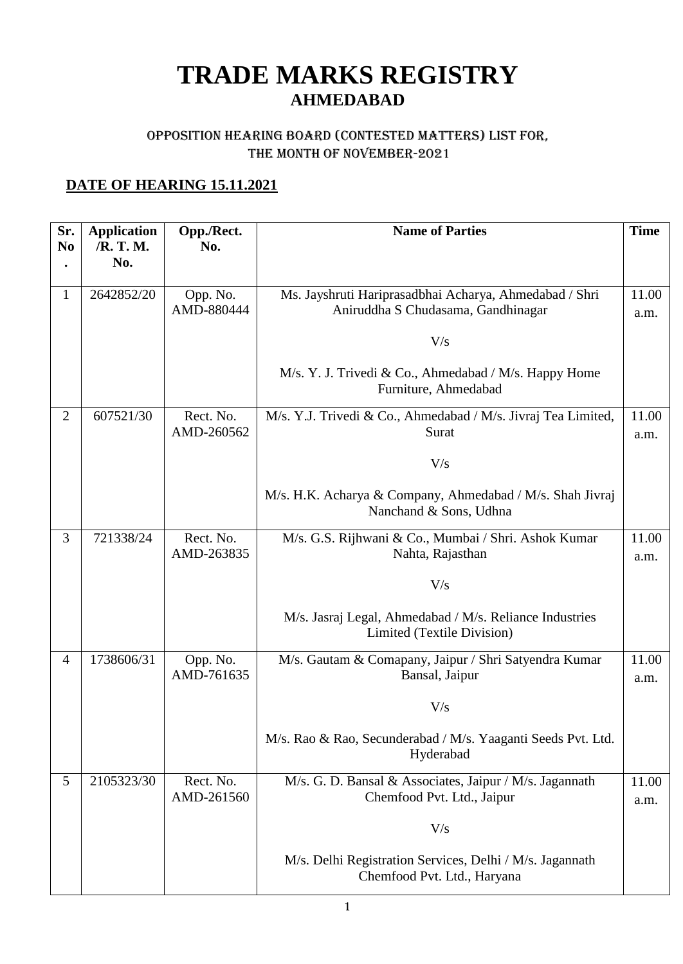# **TRADE MARKS REGISTRY AHMEDABAD**

#### Opposition Hearing Board (Contested Matters) LIST FOR, THE MONTH OF NOVEMBER-2021

### **DATE OF HEARING 15.11.2021**

| Sr.<br>N <sub>0</sub> | <b>Application</b><br>/R. T. M. | Opp./Rect.<br>No.       | <b>Name of Parties</b>                                                                       | <b>Time</b>   |
|-----------------------|---------------------------------|-------------------------|----------------------------------------------------------------------------------------------|---------------|
|                       | No.                             |                         |                                                                                              |               |
| 1                     | 2642852/20                      | Opp. No.<br>AMD-880444  | Ms. Jayshruti Hariprasadbhai Acharya, Ahmedabad / Shri<br>Aniruddha S Chudasama, Gandhinagar | 11.00<br>a.m. |
|                       |                                 |                         | V/s                                                                                          |               |
|                       |                                 |                         |                                                                                              |               |
|                       |                                 |                         | M/s. Y. J. Trivedi & Co., Ahmedabad / M/s. Happy Home<br>Furniture, Ahmedabad                |               |
| $\overline{2}$        | 607521/30                       | Rect. No.<br>AMD-260562 | M/s. Y.J. Trivedi & Co., Ahmedabad / M/s. Jivraj Tea Limited,<br>Surat                       | 11.00<br>a.m. |
|                       |                                 |                         | V/s                                                                                          |               |
|                       |                                 |                         | M/s. H.K. Acharya & Company, Ahmedabad / M/s. Shah Jivraj<br>Nanchand & Sons, Udhna          |               |
| 3                     | 721338/24                       | Rect. No.<br>AMD-263835 | M/s. G.S. Rijhwani & Co., Mumbai / Shri. Ashok Kumar<br>Nahta, Rajasthan                     | 11.00<br>a.m. |
|                       |                                 |                         | V/s                                                                                          |               |
|                       |                                 |                         | M/s. Jasraj Legal, Ahmedabad / M/s. Reliance Industries<br>Limited (Textile Division)        |               |
| 4                     | 1738606/31                      | Opp. No.<br>AMD-761635  | M/s. Gautam & Comapany, Jaipur / Shri Satyendra Kumar<br>Bansal, Jaipur                      | 11.00<br>a.m. |
|                       |                                 |                         | V/s                                                                                          |               |
|                       |                                 |                         | M/s. Rao & Rao, Secunderabad / M/s. Yaaganti Seeds Pvt. Ltd.<br>Hyderabad                    |               |
| 5                     | 2105323/30                      | Rect. No.<br>AMD-261560 | M/s. G. D. Bansal & Associates, Jaipur / M/s. Jagannath<br>Chemfood Pvt. Ltd., Jaipur        | 11.00<br>a.m. |
|                       |                                 |                         | V/s                                                                                          |               |
|                       |                                 |                         | M/s. Delhi Registration Services, Delhi / M/s. Jagannath<br>Chemfood Pvt. Ltd., Haryana      |               |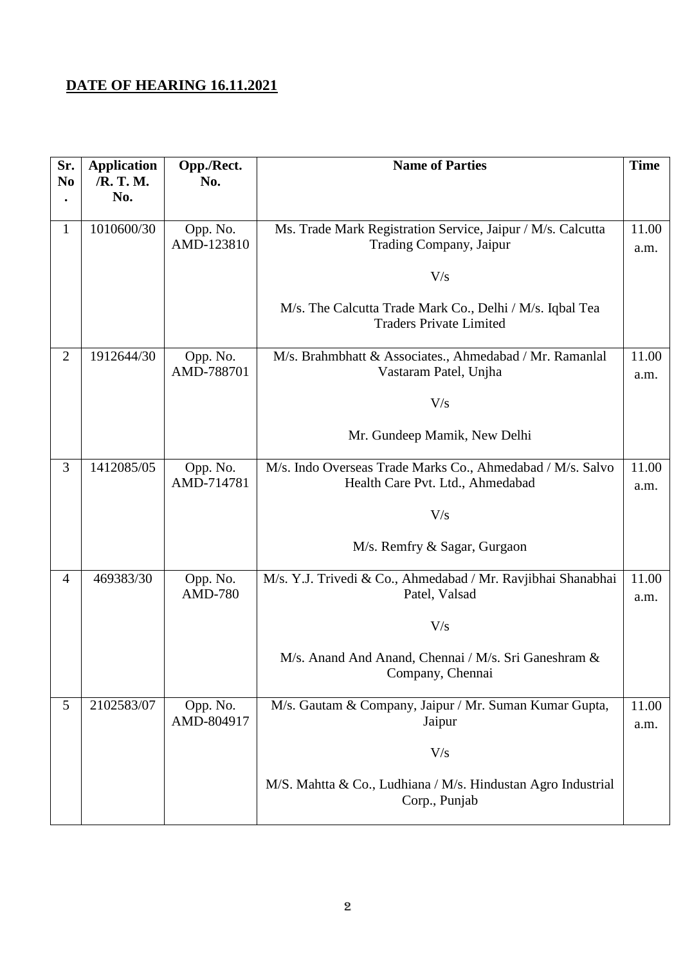## **DATE OF HEARING 16.11.2021**

| Sr.<br>N <sub>0</sub> | <b>Application</b><br>/R. T. M.<br>No. | Opp./Rect.<br>No.          | <b>Name of Parties</b>                                                                         | <b>Time</b>   |
|-----------------------|----------------------------------------|----------------------------|------------------------------------------------------------------------------------------------|---------------|
| $\mathbf{1}$          | 1010600/30                             | Opp. No.<br>AMD-123810     | Ms. Trade Mark Registration Service, Jaipur / M/s. Calcutta<br>Trading Company, Jaipur         | 11.00<br>a.m. |
|                       |                                        |                            | V/s                                                                                            |               |
|                       |                                        |                            | M/s. The Calcutta Trade Mark Co., Delhi / M/s. Iqbal Tea<br><b>Traders Private Limited</b>     |               |
| $\overline{2}$        | 1912644/30                             | Opp. No.<br>AMD-788701     | M/s. Brahmbhatt & Associates., Ahmedabad / Mr. Ramanlal<br>Vastaram Patel, Unjha               | 11.00<br>a.m. |
|                       |                                        |                            | V/s                                                                                            |               |
|                       |                                        |                            | Mr. Gundeep Mamik, New Delhi                                                                   |               |
| 3                     | 1412085/05                             | Opp. No.<br>AMD-714781     | M/s. Indo Overseas Trade Marks Co., Ahmedabad / M/s. Salvo<br>Health Care Pvt. Ltd., Ahmedabad | 11.00<br>a.m. |
|                       |                                        |                            | V/s                                                                                            |               |
|                       |                                        |                            | M/s. Remfry & Sagar, Gurgaon                                                                   |               |
| $\overline{4}$        | 469383/30                              | Opp. No.<br><b>AMD-780</b> | M/s. Y.J. Trivedi & Co., Ahmedabad / Mr. Ravjibhai Shanabhai<br>Patel, Valsad                  | 11.00<br>a.m. |
|                       |                                        |                            | V/s                                                                                            |               |
|                       |                                        |                            | M/s. Anand And Anand, Chennai / M/s. Sri Ganeshram &<br>Company, Chennai                       |               |
| 5                     | 2102583/07                             | Opp. No.<br>AMD-804917     | M/s. Gautam & Company, Jaipur / Mr. Suman Kumar Gupta,<br>Jaipur                               | 11.00<br>a.m. |
|                       |                                        |                            | V/s                                                                                            |               |
|                       |                                        |                            | M/S. Mahtta & Co., Ludhiana / M/s. Hindustan Agro Industrial<br>Corp., Punjab                  |               |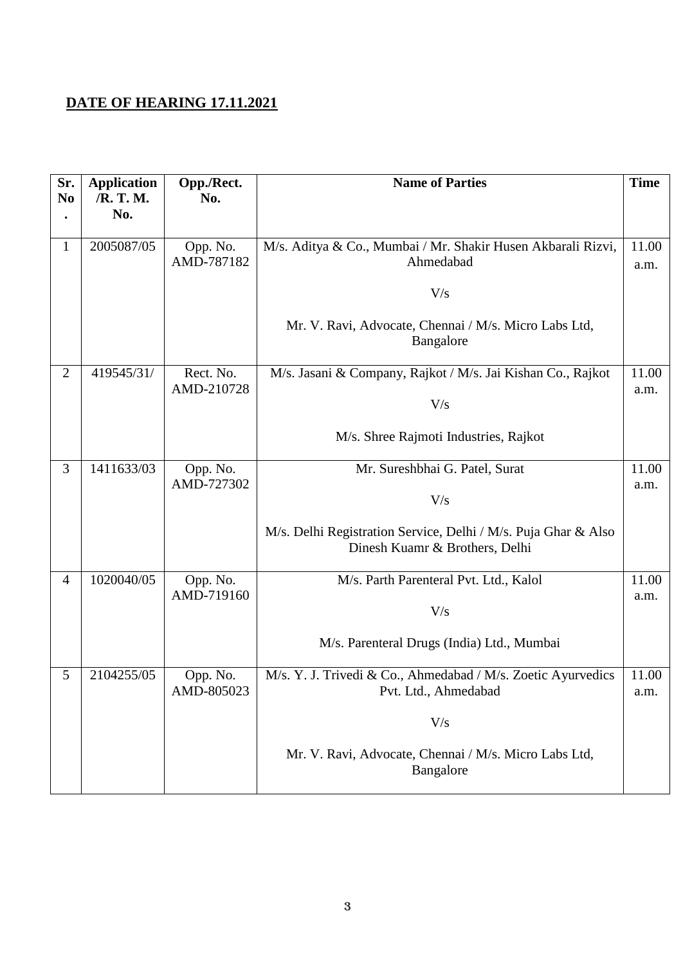## **DATE OF HEARING 17.11.2021**

| Sr.<br>N <sub>0</sub> | <b>Application</b><br>/R. T. M. | Opp./Rect.<br>No.      | <b>Name of Parties</b>                                                                           | <b>Time</b>   |
|-----------------------|---------------------------------|------------------------|--------------------------------------------------------------------------------------------------|---------------|
|                       | No.                             |                        |                                                                                                  |               |
| $\mathbf{1}$          | 2005087/05                      | Opp. No.<br>AMD-787182 | M/s. Aditya & Co., Mumbai / Mr. Shakir Husen Akbarali Rizvi,<br>Ahmedabad                        | 11.00<br>a.m. |
|                       |                                 |                        | V/s                                                                                              |               |
|                       |                                 |                        |                                                                                                  |               |
|                       |                                 |                        | Mr. V. Ravi, Advocate, Chennai / M/s. Micro Labs Ltd,<br>Bangalore                               |               |
| $\overline{2}$        | 419545/31/                      | Rect. No.              | M/s. Jasani & Company, Rajkot / M/s. Jai Kishan Co., Rajkot                                      | 11.00         |
|                       |                                 | AMD-210728             | V/s                                                                                              | a.m.          |
|                       |                                 |                        | M/s. Shree Rajmoti Industries, Rajkot                                                            |               |
| 3                     | 1411633/03                      | Opp. No.<br>AMD-727302 | Mr. Sureshbhai G. Patel, Surat                                                                   | 11.00         |
|                       |                                 |                        | V/s                                                                                              | a.m.          |
|                       |                                 |                        | M/s. Delhi Registration Service, Delhi / M/s. Puja Ghar & Also<br>Dinesh Kuamr & Brothers, Delhi |               |
| $\overline{4}$        | 1020040/05                      | Opp. No.               | M/s. Parth Parenteral Pvt. Ltd., Kalol                                                           | 11.00         |
|                       |                                 | AMD-719160             | V/s                                                                                              | a.m.          |
|                       |                                 |                        | M/s. Parenteral Drugs (India) Ltd., Mumbai                                                       |               |
| 5                     | 2104255/05                      | Opp. No.<br>AMD-805023 | M/s. Y. J. Trivedi & Co., Ahmedabad / M/s. Zoetic Ayurvedics<br>Pvt. Ltd., Ahmedabad             | 11.00<br>a.m. |
|                       |                                 |                        | V/s                                                                                              |               |
|                       |                                 |                        | Mr. V. Ravi, Advocate, Chennai / M/s. Micro Labs Ltd,<br>Bangalore                               |               |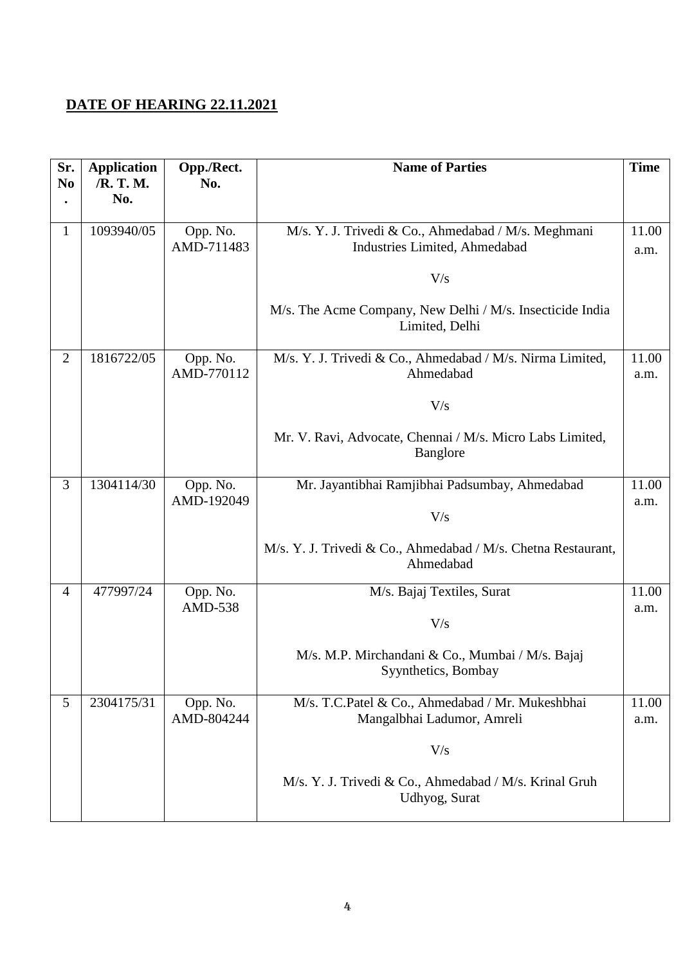#### **DATE OF HEARING 22.11.2021**

| Sr.<br>N <sub>0</sub> | <b>Application</b><br>/R. T. M.<br>No. | Opp./Rect.<br>No.          | <b>Name of Parties</b>                                                                                                                                           | <b>Time</b>   |
|-----------------------|----------------------------------------|----------------------------|------------------------------------------------------------------------------------------------------------------------------------------------------------------|---------------|
| $\mathbf{1}$          | 1093940/05                             | Opp. No.<br>AMD-711483     | M/s. Y. J. Trivedi & Co., Ahmedabad / M/s. Meghmani<br>Industries Limited, Ahmedabad<br>V/s                                                                      | 11.00<br>a.m. |
|                       |                                        |                            | M/s. The Acme Company, New Delhi / M/s. Insecticide India<br>Limited, Delhi                                                                                      |               |
| $\overline{2}$        | 1816722/05                             | Opp. No.<br>AMD-770112     | M/s. Y. J. Trivedi & Co., Ahmedabad / M/s. Nirma Limited,<br>Ahmedabad<br>V/s<br>Mr. V. Ravi, Advocate, Chennai / M/s. Micro Labs Limited,<br>Banglore           | 11.00<br>a.m. |
| 3                     | 1304114/30                             | Opp. No.<br>AMD-192049     | Mr. Jayantibhai Ramjibhai Padsumbay, Ahmedabad<br>V/s<br>M/s. Y. J. Trivedi & Co., Ahmedabad / M/s. Chetna Restaurant,<br>Ahmedabad                              | 11.00<br>a.m. |
| $\overline{4}$        | 477997/24                              | Opp. No.<br><b>AMD-538</b> | M/s. Bajaj Textiles, Surat<br>V/s<br>M/s. M.P. Mirchandani & Co., Mumbai / M/s. Bajaj<br>Syynthetics, Bombay                                                     | 11.00<br>a.m. |
| 5                     | 2304175/31                             | Opp. No.<br>AMD-804244     | M/s. T.C.Patel & Co., Ahmedabad / Mr. Mukeshbhai<br>Mangalbhai Ladumor, Amreli<br>V/s<br>M/s. Y. J. Trivedi & Co., Ahmedabad / M/s. Krinal Gruh<br>Udhyog, Surat | 11.00<br>a.m. |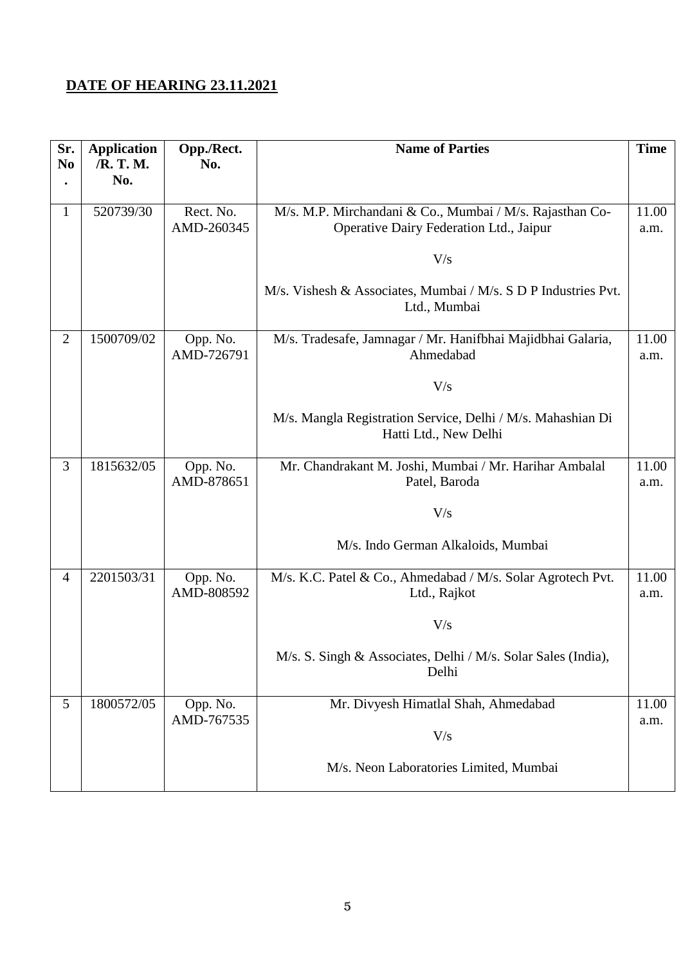## **DATE OF HEARING 23.11.2021**

| Sr.<br>N <sub>o</sub> | <b>Application</b><br>/R. T. M.<br>No. | Opp./Rect.<br>No.      | <b>Name of Parties</b>                                                               | <b>Time</b>   |
|-----------------------|----------------------------------------|------------------------|--------------------------------------------------------------------------------------|---------------|
|                       |                                        |                        |                                                                                      |               |
| $\mathbf{1}$          | 520739/30                              | Rect. No.              | M/s. M.P. Mirchandani & Co., Mumbai / M/s. Rajasthan Co-                             | 11.00         |
|                       |                                        | AMD-260345             | Operative Dairy Federation Ltd., Jaipur                                              | a.m.          |
|                       |                                        |                        | V/s                                                                                  |               |
|                       |                                        |                        | M/s. Vishesh & Associates, Mumbai / M/s. S D P Industries Pvt.<br>Ltd., Mumbai       |               |
| $\overline{2}$        | 1500709/02                             | Opp. No.<br>AMD-726791 | M/s. Tradesafe, Jamnagar / Mr. Hanifbhai Majidbhai Galaria,<br>Ahmedabad             | 11.00<br>a.m. |
|                       |                                        |                        | V/s                                                                                  |               |
|                       |                                        |                        | M/s. Mangla Registration Service, Delhi / M/s. Mahashian Di<br>Hatti Ltd., New Delhi |               |
| 3                     | 1815632/05                             | Opp. No.<br>AMD-878651 | Mr. Chandrakant M. Joshi, Mumbai / Mr. Harihar Ambalal<br>Patel, Baroda              | 11.00<br>a.m. |
|                       |                                        |                        | V/s                                                                                  |               |
|                       |                                        |                        | M/s. Indo German Alkaloids, Mumbai                                                   |               |
| $\overline{4}$        | 2201503/31                             | Opp. No.<br>AMD-808592 | M/s. K.C. Patel & Co., Ahmedabad / M/s. Solar Agrotech Pvt.<br>Ltd., Rajkot          | 11.00<br>a.m. |
|                       |                                        |                        | V/s                                                                                  |               |
|                       |                                        |                        | M/s. S. Singh & Associates, Delhi / M/s. Solar Sales (India),<br>Delhi               |               |
| 5                     | 1800572/05                             | Opp. No.               | Mr. Divyesh Himatlal Shah, Ahmedabad                                                 | 11.00         |
|                       |                                        | AMD-767535             | V/s                                                                                  | a.m.          |
|                       |                                        |                        | M/s. Neon Laboratories Limited, Mumbai                                               |               |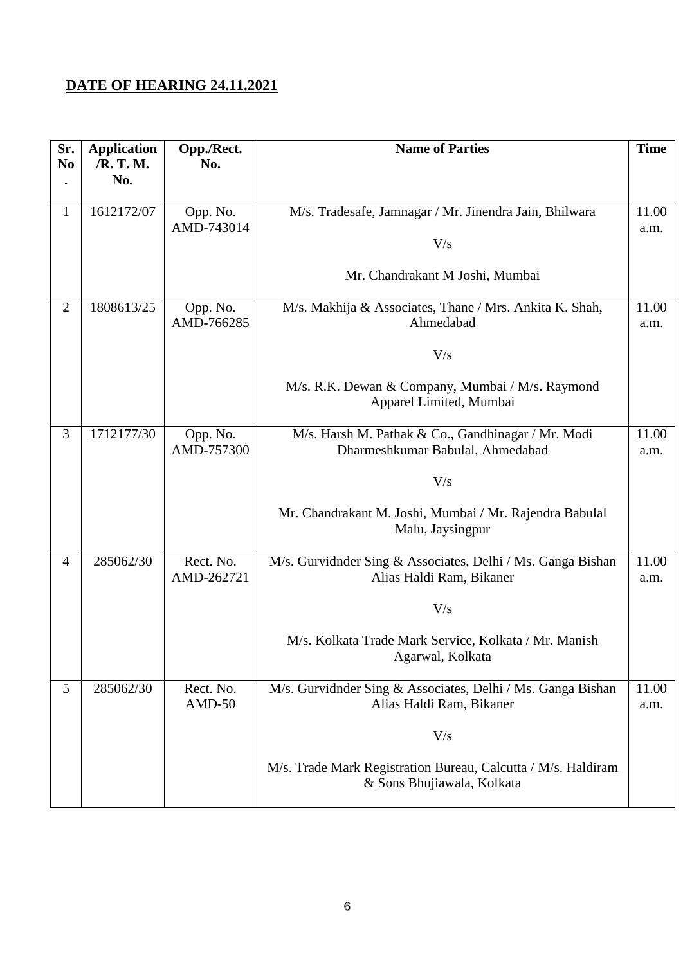## **DATE OF HEARING 24.11.2021**

| Sr.<br>N <sub>0</sub> | <b>Application</b><br>/R. T. M.<br>No. | Opp./Rect.<br>No.       | <b>Name of Parties</b>                                                                      | <b>Time</b>   |
|-----------------------|----------------------------------------|-------------------------|---------------------------------------------------------------------------------------------|---------------|
|                       |                                        |                         |                                                                                             |               |
| 1                     | 1612172/07                             | Opp. No.                | M/s. Tradesafe, Jamnagar / Mr. Jinendra Jain, Bhilwara                                      | 11.00         |
|                       |                                        | AMD-743014              | V/s                                                                                         | a.m.          |
|                       |                                        |                         | Mr. Chandrakant M Joshi, Mumbai                                                             |               |
| $\overline{2}$        | 1808613/25                             | Opp. No.<br>AMD-766285  | M/s. Makhija & Associates, Thane / Mrs. Ankita K. Shah,<br>Ahmedabad                        | 11.00<br>a.m. |
|                       |                                        |                         | V/s                                                                                         |               |
|                       |                                        |                         | M/s. R.K. Dewan & Company, Mumbai / M/s. Raymond<br>Apparel Limited, Mumbai                 |               |
| 3                     | 1712177/30                             | Opp. No.<br>AMD-757300  | M/s. Harsh M. Pathak & Co., Gandhinagar / Mr. Modi<br>Dharmeshkumar Babulal, Ahmedabad      | 11.00<br>a.m. |
|                       |                                        |                         | V/s                                                                                         |               |
|                       |                                        |                         | Mr. Chandrakant M. Joshi, Mumbai / Mr. Rajendra Babulal<br>Malu, Jaysingpur                 |               |
| $\overline{4}$        | 285062/30                              | Rect. No.<br>AMD-262721 | M/s. Gurvidnder Sing & Associates, Delhi / Ms. Ganga Bishan<br>Alias Haldi Ram, Bikaner     | 11.00<br>a.m. |
|                       |                                        |                         | V/s                                                                                         |               |
|                       |                                        |                         | M/s. Kolkata Trade Mark Service, Kolkata / Mr. Manish<br>Agarwal, Kolkata                   |               |
| 5                     | 285062/30                              | Rect. No.<br>$AMD-50$   | M/s. Gurvidnder Sing & Associates, Delhi / Ms. Ganga Bishan<br>Alias Haldi Ram, Bikaner     | 11.00<br>a.m. |
|                       |                                        |                         | V/s                                                                                         |               |
|                       |                                        |                         | M/s. Trade Mark Registration Bureau, Calcutta / M/s. Haldiram<br>& Sons Bhujiawala, Kolkata |               |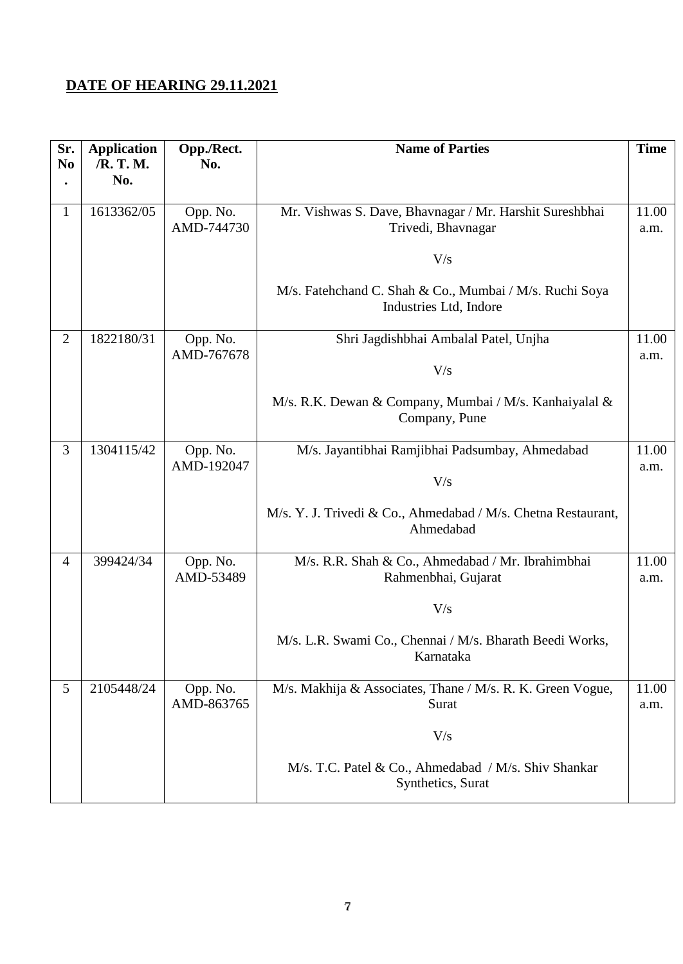## **DATE OF HEARING 29.11.2021**

| Sr.<br>N <sub>0</sub> | <b>Application</b><br>/R. T. M.<br>No. | Opp./Rect.<br>No.      | <b>Name of Parties</b>                                                                                                                                                    | <b>Time</b>   |
|-----------------------|----------------------------------------|------------------------|---------------------------------------------------------------------------------------------------------------------------------------------------------------------------|---------------|
| $\mathbf{1}$          | 1613362/05                             | Opp. No.<br>AMD-744730 | Mr. Vishwas S. Dave, Bhavnagar / Mr. Harshit Sureshbhai<br>Trivedi, Bhavnagar<br>V/s<br>M/s. Fatehchand C. Shah & Co., Mumbai / M/s. Ruchi Soya<br>Industries Ltd, Indore | 11.00<br>a.m. |
| $\overline{2}$        | 1822180/31                             | Opp. No.<br>AMD-767678 | Shri Jagdishbhai Ambalal Patel, Unjha<br>V/s<br>M/s. R.K. Dewan & Company, Mumbai / M/s. Kanhaiyalal &<br>Company, Pune                                                   | 11.00<br>a.m. |
| 3                     | 1304115/42                             | Opp. No.<br>AMD-192047 | M/s. Jayantibhai Ramjibhai Padsumbay, Ahmedabad<br>V/s<br>M/s. Y. J. Trivedi & Co., Ahmedabad / M/s. Chetna Restaurant,<br>Ahmedabad                                      | 11.00<br>a.m. |
| $\overline{4}$        | 399424/34                              | Opp. No.<br>AMD-53489  | M/s. R.R. Shah & Co., Ahmedabad / Mr. Ibrahimbhai<br>Rahmenbhai, Gujarat<br>V/s<br>M/s. L.R. Swami Co., Chennai / M/s. Bharath Beedi Works,<br>Karnataka                  | 11.00<br>a.m. |
| 5                     | 2105448/24                             | Opp. No.<br>AMD-863765 | M/s. Makhija & Associates, Thane / M/s. R. K. Green Vogue,<br>Surat<br>V/s<br>M/s. T.C. Patel & Co., Ahmedabad / M/s. Shiv Shankar<br>Synthetics, Surat                   | 11.00<br>a.m. |